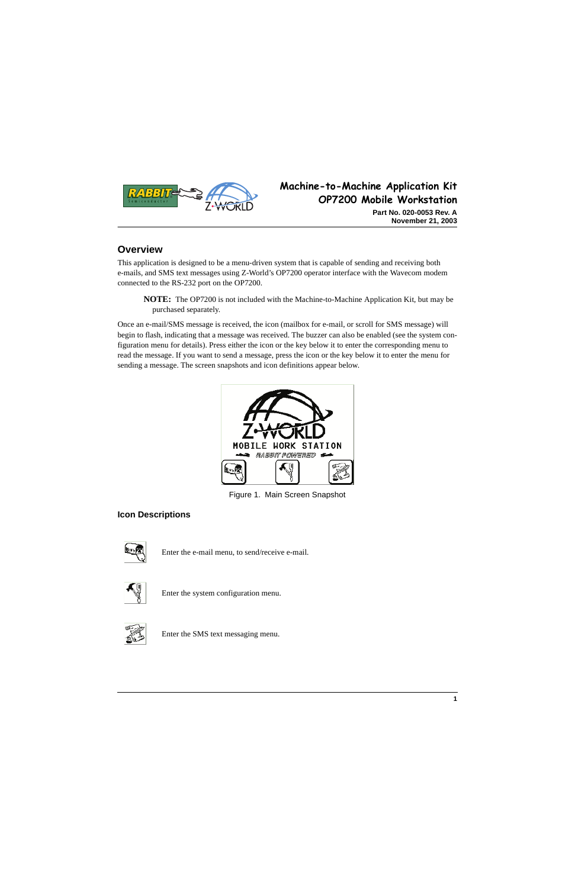

# **Machine-to-Machine Application Kit OP7200 Mobile Workstation**

**Part No. 020-0053 Rev. A November 21, 2003**

# **Overview**

This application is designed to be a menu-driven system that is capable of sending and receiving both e-mails, and SMS text messages using Z-World's OP7200 operator interface with the Wavecom modem connected to the RS-232 port on the OP7200.

**NOTE:** The OP7200 is not included with the Machine-to-Machine Application Kit, but may be purchased separately.

Once an e-mail/SMS message is received, the icon (mailbox for e-mail, or scroll for SMS message) will begin to flash, indicating that a message was received. The buzzer can also be enabled (see the system configuration menu for details). Press either the icon or the key below it to enter the corresponding menu to read the message. If you want to send a message, press the icon or the key below it to enter the menu for sending a message. The screen snapshots and icon definitions appear below.



Figure 1. Main Screen Snapshot

## **Icon Descriptions**



Enter the e-mail menu, to send/receive e-mail.



Enter the system configuration menu.



Enter the SMS text messaging menu.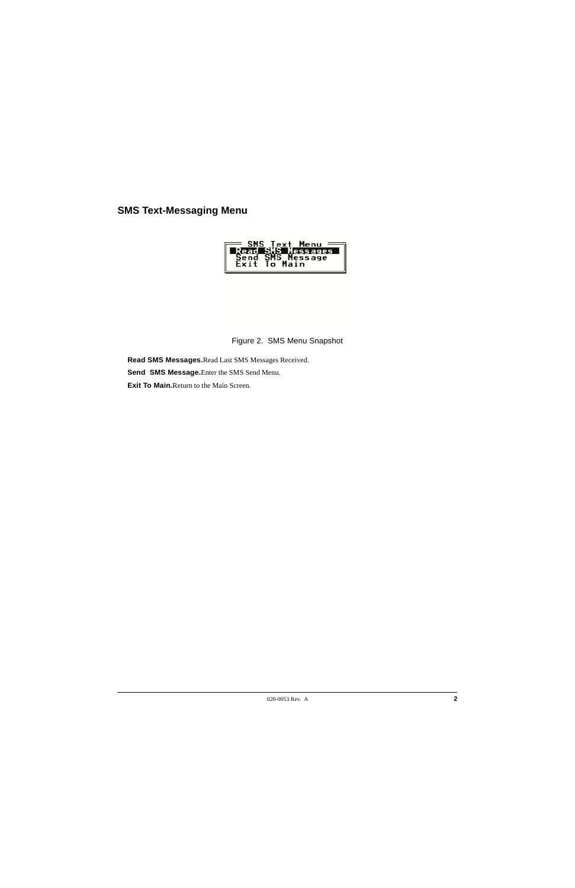## **SMS Text-Messaging Menu**



### Figure 2. SMS Menu Snapshot

**Read SMS Messages.**Read Last SMS Messages Received.

**Send SMS Message.**Enter the SMS Send Menu.

**Exit To Main.**Return to the Main Screen.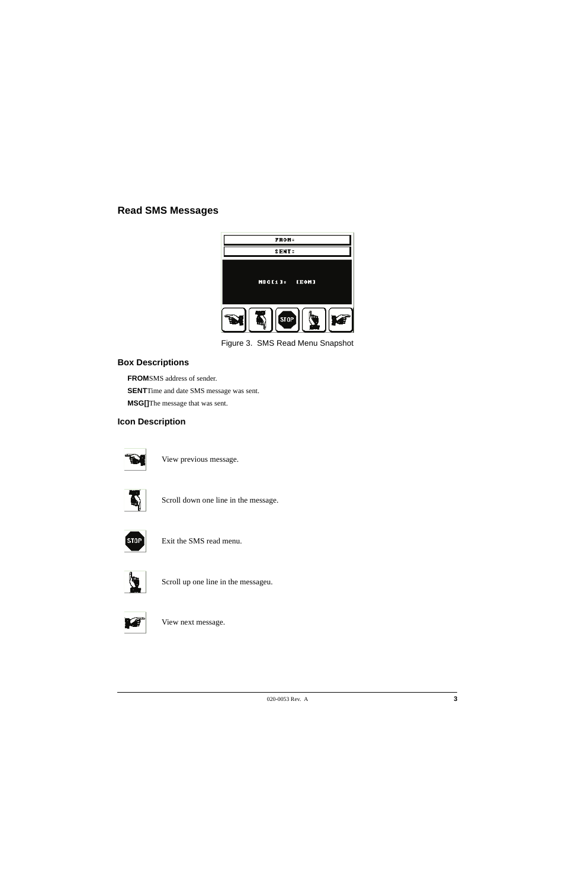## **Read SMS Messages**



Figure 3. SMS Read Menu Snapshot

### **Box Descriptions**

**FROM**SMS address of sender. **SENT**Time and date SMS message was sent. **MSG[]**The message that was sent.

## **Icon Description**



View previous message.



Scroll down one line in the message.



Exit the SMS read menu.



Scroll up one line in the messageu.



View next message.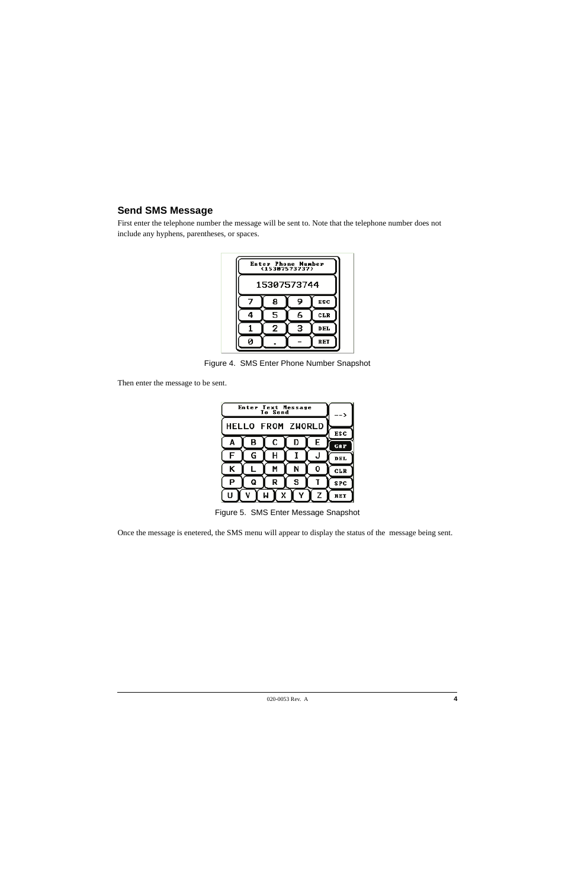# **Send SMS Message**

First enter the telephone number the message will be sent to. Note that the telephone number does not include any hyphens, parentheses, or spaces.



Figure 4. SMS Enter Phone Number Snapshot

Then enter the message to be sent.

| <b>Enter Text Message</b><br>To Send |   |   |   |   | -->               |
|--------------------------------------|---|---|---|---|-------------------|
| <b>HELLO FROM ZWORLD</b>             |   |   |   |   |                   |
| A                                    | B | С | D | E | ESC<br><b>CAP</b> |
| F                                    | G | Н |   | J | DEL.              |
| K                                    |   | M | N | 0 | <b>CLR</b>        |
| P                                    | Q | R | s |   | <b>SPC</b>        |
| IJ<br>z                              |   |   |   |   | RET               |

Figure 5. SMS Enter Message Snapshot

Once the message is enetered, the SMS menu will appear to display the status of the message being sent.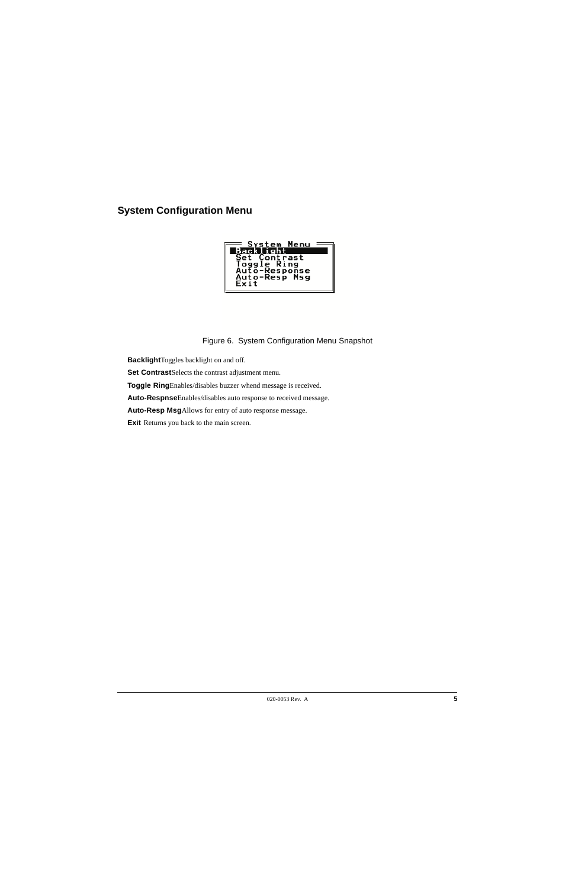# **System Configuration Menu**



### Figure 6. System Configuration Menu Snapshot

**Backlight**Toggles backlight on and off.

**Set Contrast**Selects the contrast adjustment menu.

**Toggle Ring**Enables/disables buzzer whend message is received.

**Auto-Respnse**Enables/disables auto response to received message.

**Auto-Resp Msg**Allows for entry of auto response message.

**Exit** Returns you back to the main screen.